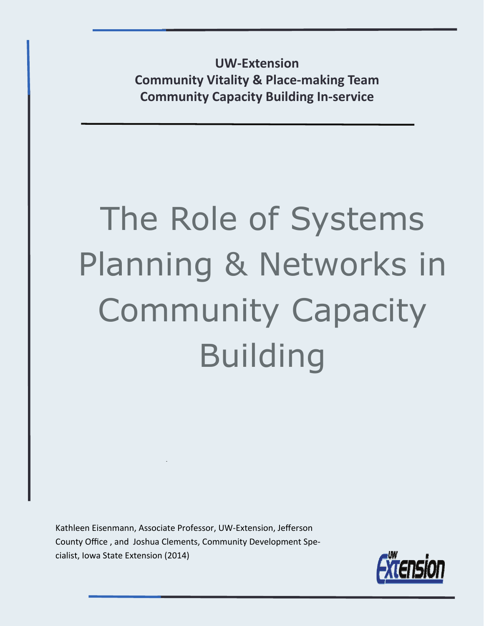**UW‐Extension Community Vitality & Place‐making Team Community Capacity Building In‐service**

# The Role of Systems Planning & Networks in Community Capacity Building

Kathleen Eisenmann, Associate Professor, UW‐Extension, Jefferson County Office , and Joshua Clements, Community Development Spe‐ cialist, Iowa State Extension (2014)

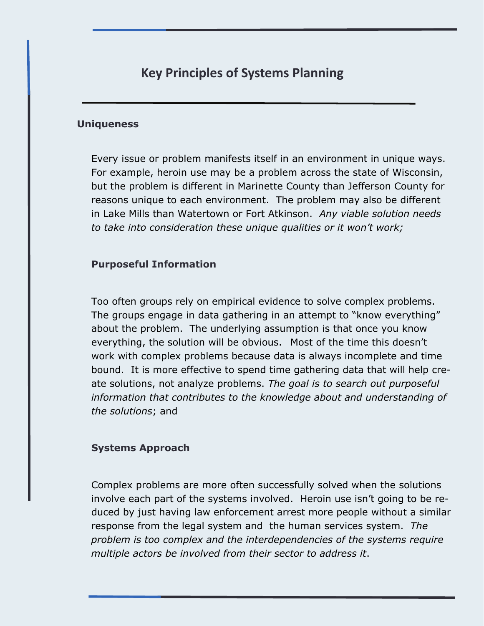## **Key Principles of Systems Planning**

#### **Uniqueness**

Every issue or problem manifests itself in an environment in unique ways. For example, heroin use may be a problem across the state of Wisconsin, but the problem is different in Marinette County than Jefferson County for reasons unique to each environment. The problem may also be different in Lake Mills than Watertown or Fort Atkinson. *Any viable solution needs to take into consideration these unique qualities or it won't work;* 

#### **Purposeful Information**

Too often groups rely on empirical evidence to solve complex problems. The groups engage in data gathering in an attempt to "know everything" about the problem. The underlying assumption is that once you know everything, the solution will be obvious. Most of the time this doesn't work with complex problems because data is always incomplete and time bound. It is more effective to spend time gathering data that will help create solutions, not analyze problems. *The goal is to search out purposeful information that contributes to the knowledge about and understanding of the solutions*; and

#### **Systems Approach**

Complex problems are more often successfully solved when the solutions involve each part of the systems involved. Heroin use isn't going to be reduced by just having law enforcement arrest more people without a similar response from the legal system and the human services system. *The problem is too complex and the interdependencies of the systems require multiple actors be involved from their sector to address it*.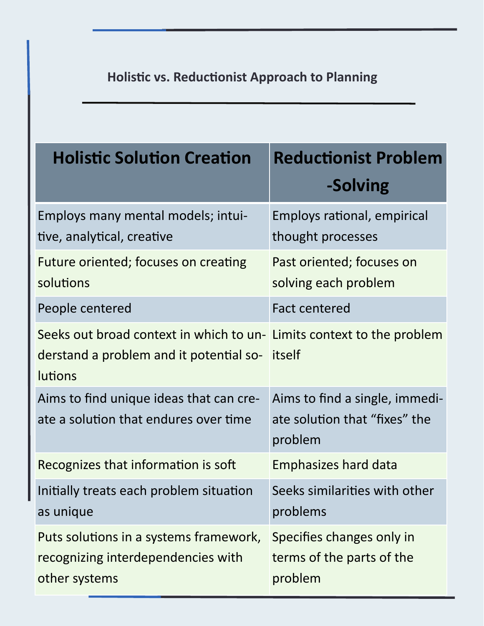# **HolisƟc vs. ReducƟonist Approach to Planning**

| <b>Holistic Solution Creation</b>                                                                                                  | <b>Reductionist Problem</b>                                                |
|------------------------------------------------------------------------------------------------------------------------------------|----------------------------------------------------------------------------|
|                                                                                                                                    | -Solving                                                                   |
| Employs many mental models; intui-<br>tive, analytical, creative                                                                   | Employs rational, empirical<br>thought processes                           |
| Future oriented; focuses on creating<br>solutions                                                                                  | Past oriented; focuses on<br>solving each problem                          |
| People centered                                                                                                                    | <b>Fact centered</b>                                                       |
| Seeks out broad context in which to un- Limits context to the problem<br>derstand a problem and it potential so-<br><b>lutions</b> | itself                                                                     |
| Aims to find unique ideas that can cre-<br>ate a solution that endures over time                                                   | Aims to find a single, immedi-<br>ate solution that "fixes" the<br>problem |
| Recognizes that information is soft                                                                                                | <b>Emphasizes hard data</b>                                                |
| Initially treats each problem situation<br>as unique                                                                               | Seeks similarities with other<br>problems                                  |
| Puts solutions in a systems framework,<br>recognizing interdependencies with<br>other systems                                      | Specifies changes only in<br>terms of the parts of the<br>problem          |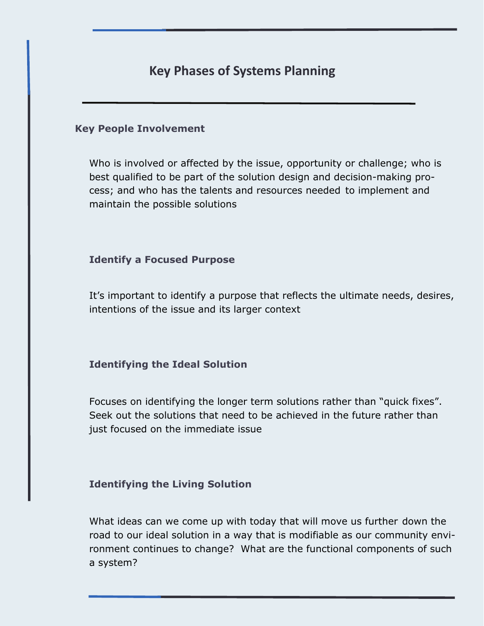## **Key Phases of Systems Planning**

#### **Key People Involvement**

Who is involved or affected by the issue, opportunity or challenge; who is best qualified to be part of the solution design and decision-making process; and who has the talents and resources needed to implement and maintain the possible solutions

#### **Identify a Focused Purpose**

It's important to identify a purpose that reflects the ultimate needs, desires, intentions of the issue and its larger context

#### **Identifying the Ideal Solution**

Focuses on identifying the longer term solutions rather than "quick fixes". Seek out the solutions that need to be achieved in the future rather than just focused on the immediate issue

#### **Identifying the Living Solution**

What ideas can we come up with today that will move us further down the road to our ideal solution in a way that is modifiable as our community environment continues to change? What are the functional components of such a system?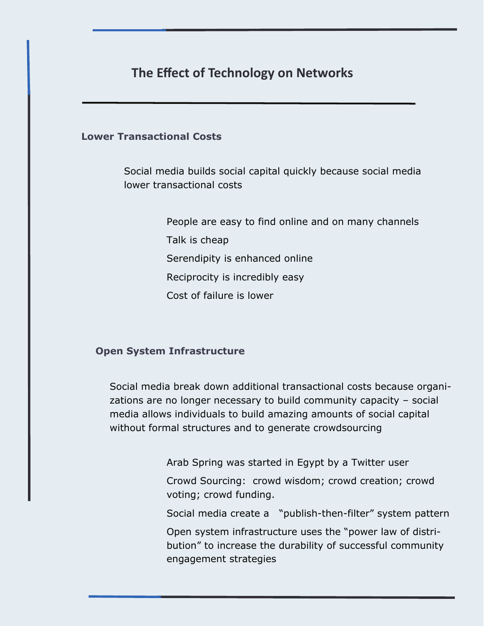## **The Effect of Technology on Networks**

#### **Lower Transactional Costs**

 Social media builds social capital quickly because social media lower transactional costs

> People are easy to find online and on many channels Talk is cheap Serendipity is enhanced online Reciprocity is incredibly easy Cost of failure is lower

#### **Open System Infrastructure**

Social media break down additional transactional costs because organizations are no longer necessary to build community capacity – social media allows individuals to build amazing amounts of social capital without formal structures and to generate crowdsourcing

Arab Spring was started in Egypt by a Twitter user

 Crowd Sourcing: crowd wisdom; crowd creation; crowd voting; crowd funding.

Social media create a "publish-then-filter" system pattern

 Open system infrastructure uses the "power law of distribution" to increase the durability of successful community engagement strategies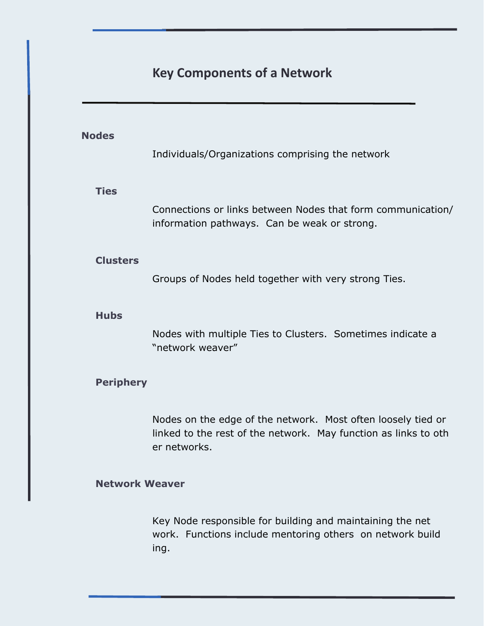# **Key Components of a Network**

| <b>Nodes</b>          | Individuals/Organizations comprising the network                                                                                                |
|-----------------------|-------------------------------------------------------------------------------------------------------------------------------------------------|
| <b>Ties</b>           | Connections or links between Nodes that form communication/<br>information pathways. Can be weak or strong.                                     |
| <b>Clusters</b>       | Groups of Nodes held together with very strong Ties.                                                                                            |
| <b>Hubs</b>           | Nodes with multiple Ties to Clusters. Sometimes indicate a<br>"network weaver"                                                                  |
| <b>Periphery</b>      |                                                                                                                                                 |
|                       | Nodes on the edge of the network. Most often loosely tied or<br>linked to the rest of the network. May function as links to oth<br>er networks. |
| <b>Network Weaver</b> |                                                                                                                                                 |
|                       | Key Node responsible for building and maintaining the net<br>work. Functions include mentoring others on network build<br>ing.                  |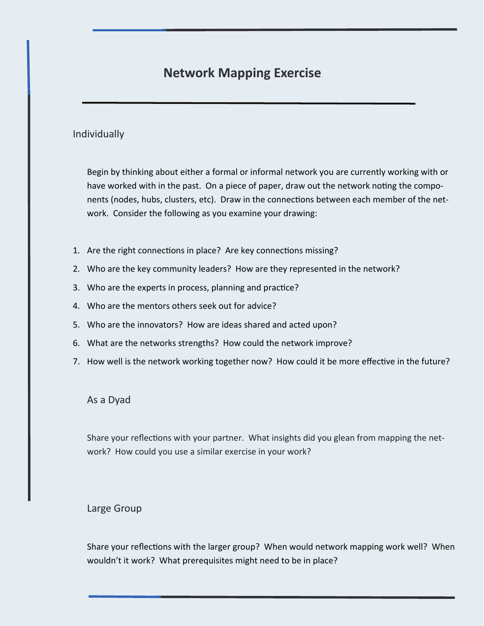## **Network Mapping Exercise**

#### Individually

Begin by thinking about either a formal or informal network you are currently working with or have worked with in the past. On a piece of paper, draw out the network noting the components (nodes, hubs, clusters, etc). Draw in the connections between each member of the network. Consider the following as you examine your drawing:

- 1. Are the right connections in place? Are key connections missing?
- 2. Who are the key community leaders? How are they represented in the network?
- 3. Who are the experts in process, planning and practice?
- 4. Who are the mentors others seek out for advice?
- 5. Who are the innovators? How are ideas shared and acted upon?
- 6. What are the networks strengths? How could the network improve?
- 7. How well is the network working together now? How could it be more effective in the future?

#### As a Dyad

Share your reflections with your partner. What insights did you glean from mapping the network? How could you use a similar exercise in your work?

#### Large Group

Share your reflections with the larger group? When would network mapping work well? When wouldn't it work? What prerequisites might need to be in place?